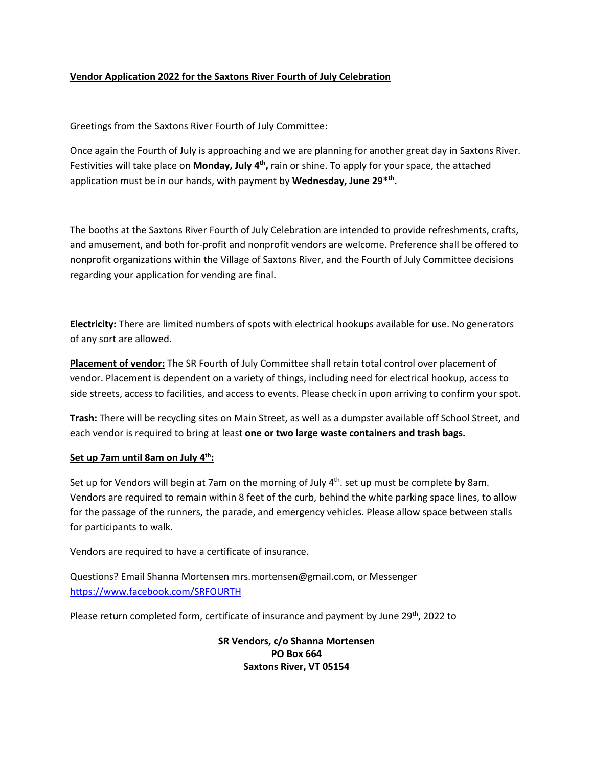## **Vendor Application 2022 for the Saxtons River Fourth of July Celebration**

Greetings from the Saxtons River Fourth of July Committee:

Once again the Fourth of July is approaching and we are planning for another great day in Saxtons River. Festivities will take place on **Monday, July 4th,** rain or shine. To apply for your space, the attached application must be in our hands, with payment by **Wednesday, June 29\*th.**

The booths at the Saxtons River Fourth of July Celebration are intended to provide refreshments, crafts, and amusement, and both for-profit and nonprofit vendors are welcome. Preference shall be offered to nonprofit organizations within the Village of Saxtons River, and the Fourth of July Committee decisions regarding your application for vending are final.

**Electricity:** There are limited numbers of spots with electrical hookups available for use. No generators of any sort are allowed.

**Placement of vendor:** The SR Fourth of July Committee shall retain total control over placement of vendor. Placement is dependent on a variety of things, including need for electrical hookup, access to side streets, access to facilities, and access to events. Please check in upon arriving to confirm your spot.

**Trash:** There will be recycling sites on Main Street, as well as a dumpster available off School Street, and each vendor is required to bring at least **one or two large waste containers and trash bags.**

## **Set up 7am until 8am on July 4th:**

Set up for Vendors will begin at 7am on the morning of July 4<sup>th</sup>. set up must be complete by 8am. Vendors are required to remain within 8 feet of the curb, behind the white parking space lines, to allow for the passage of the runners, the parade, and emergency vehicles. Please allow space between stalls for participants to walk.

Vendors are required to have a certificate of insurance.

Questions? Email Shanna Mortensen mrs.mortensen@gmail.com, or Messenger https://www.facebook.com/SRFOURTH

Please return completed form, certificate of insurance and payment by June  $29<sup>th</sup>$ , 2022 to

**SR Vendors, c/o Shanna Mortensen PO Box 664 Saxtons River, VT 05154**